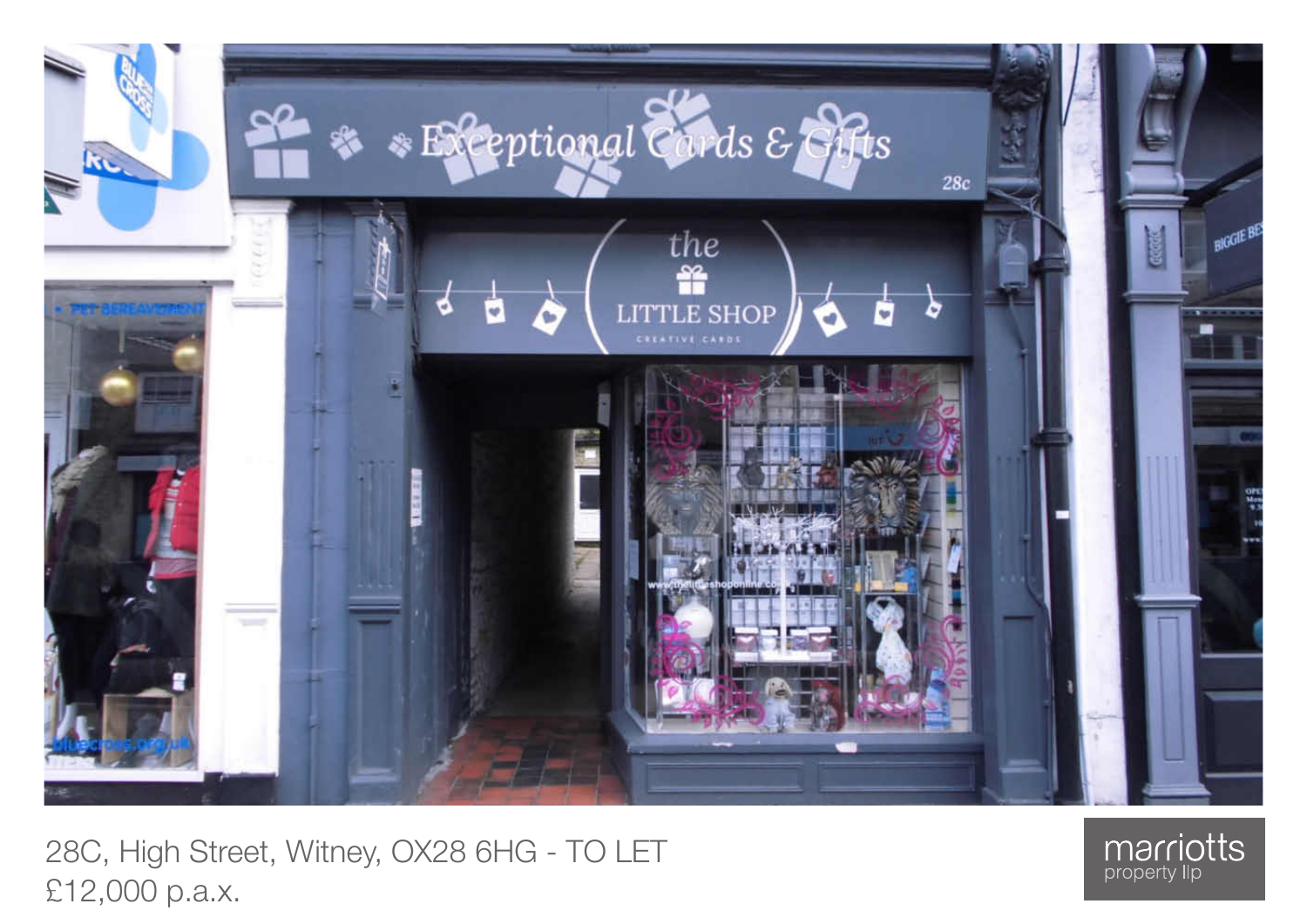

28C, High Street, Witney, OX28 6HG - TO LET £12,000 p.a.x.